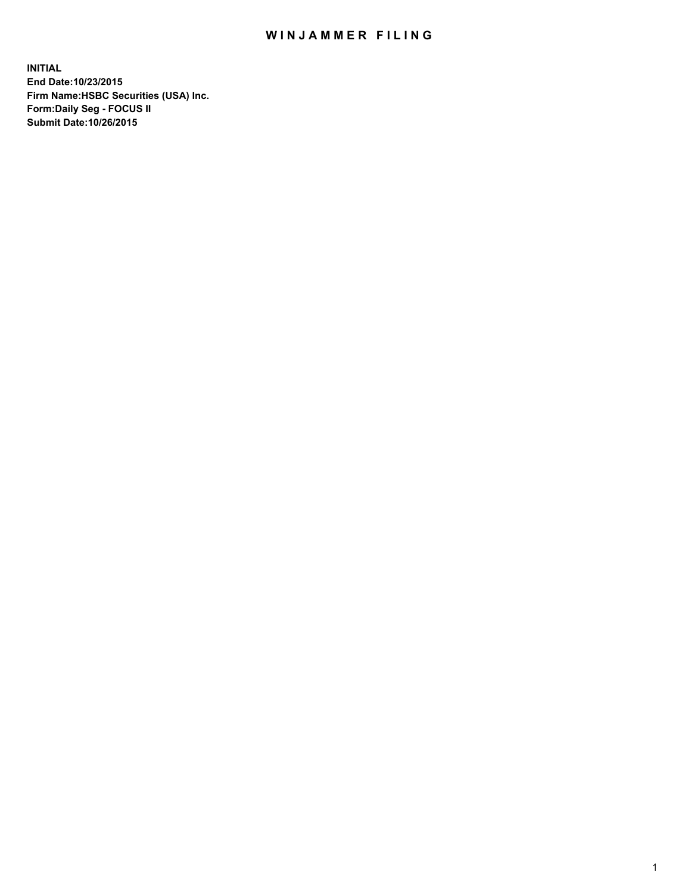## WIN JAMMER FILING

**INITIAL End Date:10/23/2015 Firm Name:HSBC Securities (USA) Inc. Form:Daily Seg - FOCUS II Submit Date:10/26/2015**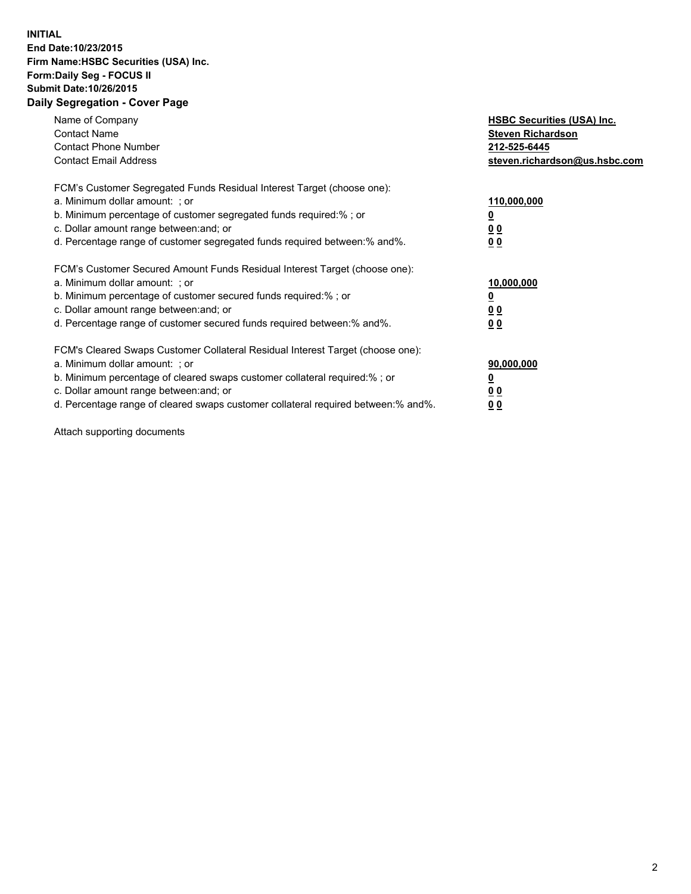## **INITIAL End Date:10/23/2015 Firm Name:HSBC Securities (USA) Inc. Form:Daily Seg - FOCUS II Submit Date:10/26/2015 Daily Segregation - Cover Page**

| Name of Company<br><b>Contact Name</b><br><b>Contact Phone Number</b><br><b>Contact Email Address</b>                                                                                                                                                                                                                         | <b>HSBC Securities (USA) Inc.</b><br><b>Steven Richardson</b><br>212-525-6445<br>steven.richardson@us.hsbc.com |
|-------------------------------------------------------------------------------------------------------------------------------------------------------------------------------------------------------------------------------------------------------------------------------------------------------------------------------|----------------------------------------------------------------------------------------------------------------|
| FCM's Customer Segregated Funds Residual Interest Target (choose one):<br>a. Minimum dollar amount: ; or<br>b. Minimum percentage of customer segregated funds required: % ; or<br>c. Dollar amount range between: and; or<br>d. Percentage range of customer segregated funds required between:% and%.                       | 110,000,000<br><u>0</u><br>0 <sub>0</sub><br>0 <sub>0</sub>                                                    |
| FCM's Customer Secured Amount Funds Residual Interest Target (choose one):<br>a. Minimum dollar amount: ; or<br>b. Minimum percentage of customer secured funds required:%; or<br>c. Dollar amount range between: and; or<br>d. Percentage range of customer secured funds required between:% and%.                           | 10,000,000<br><u>0</u><br>0 <sub>0</sub><br>0 <sub>0</sub>                                                     |
| FCM's Cleared Swaps Customer Collateral Residual Interest Target (choose one):<br>a. Minimum dollar amount: ; or<br>b. Minimum percentage of cleared swaps customer collateral required:%; or<br>c. Dollar amount range between: and; or<br>d. Percentage range of cleared swaps customer collateral required between:% and%. | 90,000,000<br><u>0</u><br>0 <sub>0</sub><br>0 <sub>0</sub>                                                     |

Attach supporting documents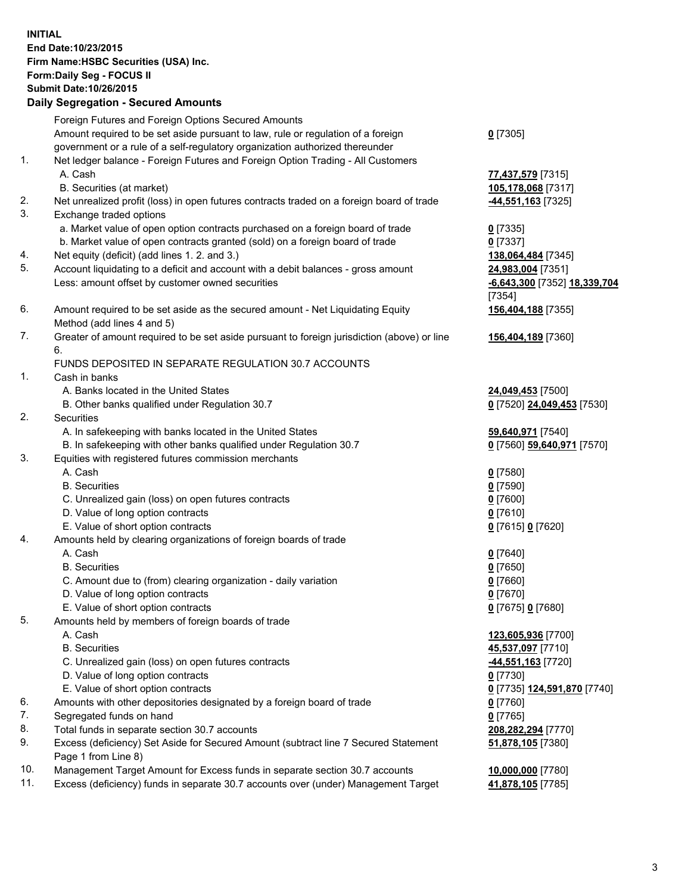**INITIAL End Date:10/23/2015 Firm Name:HSBC Securities (USA) Inc. Form:Daily Seg - FOCUS II Submit Date:10/26/2015 Daily Segregation - Secured Amounts** Foreign Futures and Foreign Options Secured Amounts Amount required to be set aside pursuant to law, rule or regulation of a foreign government or a rule of a self-regulatory organization authorized thereunder **0** [7305] 1. Net ledger balance - Foreign Futures and Foreign Option Trading - All Customers A. Cash **77,437,579** [7315] B. Securities (at market) **105,178,068** [7317] 2. Net unrealized profit (loss) in open futures contracts traded on a foreign board of trade **-44,551,163** [7325] 3. Exchange traded options a. Market value of open option contracts purchased on a foreign board of trade **0** [7335] b. Market value of open contracts granted (sold) on a foreign board of trade **0** [7337] 4. Net equity (deficit) (add lines 1. 2. and 3.) **138,064,484** [7345] 5. Account liquidating to a deficit and account with a debit balances - gross amount **24,983,004** [7351] Less: amount offset by customer owned securities **-6,643,300** [7352] **18,339,704** [7354] 6. Amount required to be set aside as the secured amount - Net Liquidating Equity Method (add lines 4 and 5) **156,404,188** [7355] 7. Greater of amount required to be set aside pursuant to foreign jurisdiction (above) or line 6. **156,404,189** [7360] FUNDS DEPOSITED IN SEPARATE REGULATION 30.7 ACCOUNTS 1. Cash in banks A. Banks located in the United States **24,049,453** [7500] B. Other banks qualified under Regulation 30.7 **0** [7520] **24,049,453** [7530] 2. Securities A. In safekeeping with banks located in the United States **59,640,971** [7540] B. In safekeeping with other banks qualified under Regulation 30.7 **0** [7560] **59,640,971** [7570] 3. Equities with registered futures commission merchants A. Cash **0** [7580] B. Securities **0** [7590] C. Unrealized gain (loss) on open futures contracts **0** [7600] D. Value of long option contracts **0** [7610] E. Value of short option contracts **0** [7615] **0** [7620] 4. Amounts held by clearing organizations of foreign boards of trade A. Cash **0** [7640] B. Securities **0** [7650] C. Amount due to (from) clearing organization - daily variation **0** [7660] D. Value of long option contracts **0** [7670] E. Value of short option contracts **0** [7675] **0** [7680] 5. Amounts held by members of foreign boards of trade A. Cash **123,605,936** [7700] B. Securities **45,537,097** [7710] C. Unrealized gain (loss) on open futures contracts **-44,551,163** [7720] D. Value of long option contracts **0** [7730] E. Value of short option contracts **0** [7735] **124,591,870** [7740] 6. Amounts with other depositories designated by a foreign board of trade **0** [7760] 7. Segregated funds on hand **0** [7765] 8. Total funds in separate section 30.7 accounts **208,282,294** [7770] 9. Excess (deficiency) Set Aside for Secured Amount (subtract line 7 Secured Statement Page 1 from Line 8) **51,878,105** [7380] 10. Management Target Amount for Excess funds in separate section 30.7 accounts **10,000,000** [7780]

11. Excess (deficiency) funds in separate 30.7 accounts over (under) Management Target **41,878,105** [7785]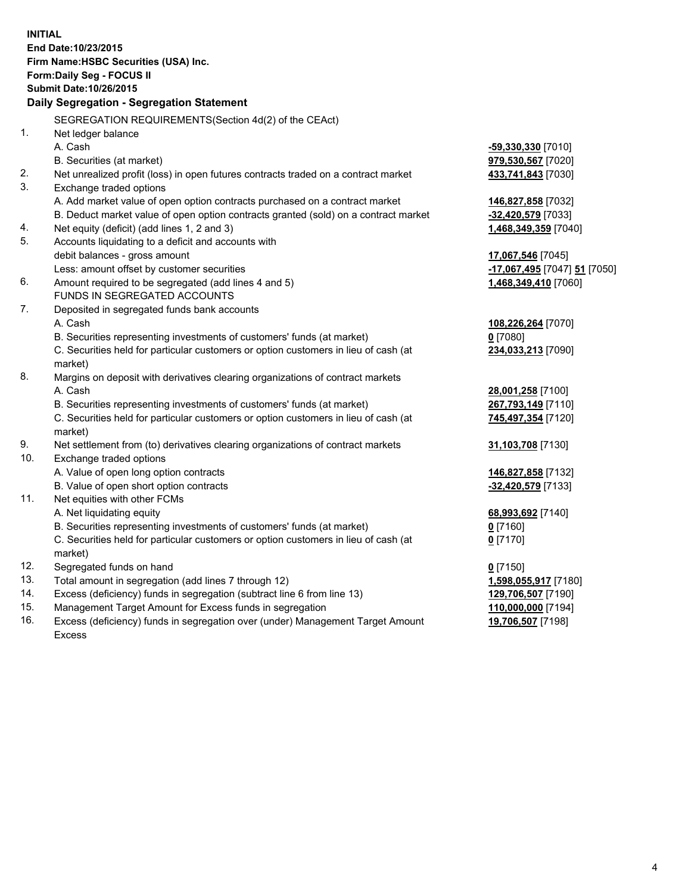| <b>INITIAL</b> | End Date: 10/23/2015<br>Firm Name: HSBC Securities (USA) Inc.<br>Form: Daily Seg - FOCUS II<br><b>Submit Date: 10/26/2015</b><br>Daily Segregation - Segregation Statement |                              |
|----------------|----------------------------------------------------------------------------------------------------------------------------------------------------------------------------|------------------------------|
|                | SEGREGATION REQUIREMENTS(Section 4d(2) of the CEAct)                                                                                                                       |                              |
| 1.             | Net ledger balance                                                                                                                                                         |                              |
|                | A. Cash                                                                                                                                                                    | <u>-59,330,330</u> [7010]    |
|                | B. Securities (at market)                                                                                                                                                  | 979,530,567 [7020]           |
| 2.             | Net unrealized profit (loss) in open futures contracts traded on a contract market                                                                                         | 433,741,843 [7030]           |
| 3.             | Exchange traded options                                                                                                                                                    |                              |
|                | A. Add market value of open option contracts purchased on a contract market                                                                                                | 146,827,858 [7032]           |
|                | B. Deduct market value of open option contracts granted (sold) on a contract market                                                                                        | -32,420,579 [7033]           |
| 4.             | Net equity (deficit) (add lines 1, 2 and 3)                                                                                                                                | 1,468,349,359 [7040]         |
| 5.             | Accounts liquidating to a deficit and accounts with                                                                                                                        |                              |
|                | debit balances - gross amount                                                                                                                                              | 17,067,546 [7045]            |
|                | Less: amount offset by customer securities                                                                                                                                 | -17,067,495 [7047] 51 [7050] |
| 6.             | Amount required to be segregated (add lines 4 and 5)                                                                                                                       | 1,468,349,410 [7060]         |
|                | FUNDS IN SEGREGATED ACCOUNTS                                                                                                                                               |                              |
| 7.             | Deposited in segregated funds bank accounts                                                                                                                                |                              |
|                | A. Cash                                                                                                                                                                    | 108,226,264 [7070]           |
|                | B. Securities representing investments of customers' funds (at market)                                                                                                     | $0$ [7080]                   |
|                | C. Securities held for particular customers or option customers in lieu of cash (at<br>market)                                                                             | 234,033,213 [7090]           |
| 8.             | Margins on deposit with derivatives clearing organizations of contract markets                                                                                             |                              |
|                | A. Cash                                                                                                                                                                    | 28,001,258 [7100]            |
|                | B. Securities representing investments of customers' funds (at market)                                                                                                     | 267,793,149 [7110]           |
|                | C. Securities held for particular customers or option customers in lieu of cash (at<br>market)                                                                             | 745,497,354 [7120]           |
| 9.             | Net settlement from (to) derivatives clearing organizations of contract markets                                                                                            | 31,103,708 [7130]            |
| 10.            | Exchange traded options                                                                                                                                                    |                              |
|                | A. Value of open long option contracts                                                                                                                                     | 146,827,858 [7132]           |
|                | B. Value of open short option contracts                                                                                                                                    | -32,420,579 [7133]           |
| 11.            | Net equities with other FCMs                                                                                                                                               |                              |
|                | A. Net liquidating equity                                                                                                                                                  | 68,993,692 [7140]            |
|                | B. Securities representing investments of customers' funds (at market)                                                                                                     | $0$ [7160]                   |
|                | C. Securities held for particular customers or option customers in lieu of cash (at                                                                                        | $0$ [7170]                   |
|                | market)                                                                                                                                                                    |                              |
| 12.            | Segregated funds on hand                                                                                                                                                   | $0$ [7150]                   |
| 13.            | Total amount in segregation (add lines 7 through 12)                                                                                                                       | 1,598,055,917 [7180]         |
| 14.            | Excess (deficiency) funds in segregation (subtract line 6 from line 13)                                                                                                    | 129,706,507 [7190]           |
| 15.            | Management Target Amount for Excess funds in segregation                                                                                                                   | 110,000,000 [7194]           |

16. Excess (deficiency) funds in segregation over (under) Management Target Amount Excess

**19,706,507** [7198]